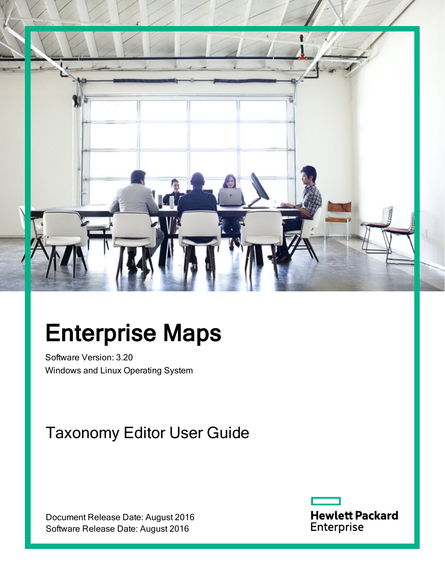

# Enterprise Maps

Software Version: 3.20 Windows and Linux Operating System

## Taxonomy Editor User Guide

Document Release Date: August 2016 Software Release Date: August 2016

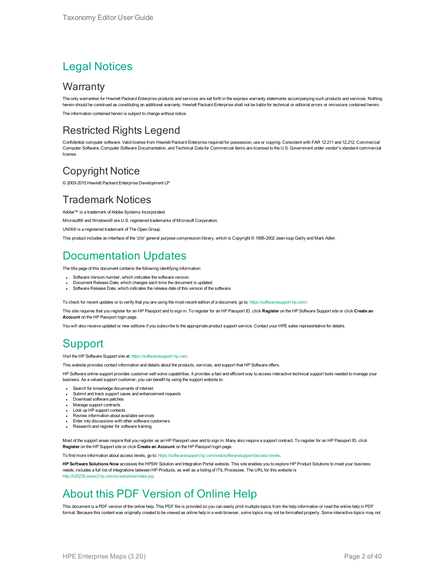### Legal Notices

### **Warranty**

The only warranties for Hewlett Packard Enterprise products and services are set forth in the express warranty statements accompanying such products and services. Nothing herein should be construed as constituting an additional warranty. Hewlett Packard Enterprise shall not be liable for technical or editorial errors or omissions contained herein. The information contained herein is subject to change without notice.

### Restricted Rights Legend

Confidential computer software. Valid license from Hewlett Packard Enterprise required for possession, use or copying. Consistent with FAR 12.211 and 12.212, Commercial Computer Software, Computer Software Documentation, and Technical Data for Commercial Items are licensed to the U.S. Government under vendor's standard commercial license.

### Copyright Notice

© 2003-2015 Hewlett Packard Enterprise Development LP

### Trademark Notices

Adobe™ is a trademark of Adobe Systems Incorporated.

Microsoft® and Windows® are U.S. registered trademarks of Microsoft Corporation.

UNIX® is a registered trademark of The Open Group.

This product includes an interface of the 'zlib' general purpose compression library, which is Copyright © 1995-2002 Jean-loup Gailly and Mark Adler.

### Documentation Updates

The title page of this document contains the following identifying information:

- Software Version number, which indicates the software version.
- Document Release Date, which changes each time the document is updated.
- Software Release Date, which indicates the release date of this version of the software.

To check for recent updates or to verify that you are using the most recent edition of a document, go to: <https://softwaresupport.hp.com/>.

This site requires that you register for an HP Passport and to sign in. To register for an HP Passport ID, click **Register** on the HP Software Support site or click **Create an Account** on the HP Passport login page.

You will also receive updated or new editions if you subscribe to the appropriate product support service. Contact your HPE sales representative for details.

### **Support**

Visit the HP Software Support site at: [https://softwaresupport.hp.com](https://softwaresupport.hp.com/).

This website provides contact information and details about the products, services, and support that HP Software offers.

HP Software online support provides customer self-solve capabilities. It provides a fast and efficient way to access interactive technical support tools needed to manage your business. As a valued support customer, you can benefit by using the support website to:

- Search for knowledge documents of interest
- Submit and track support cases and enhancement requests
- Download software patches
- Manage support contracts
- Look up HP support contacts
- Review information about available services
- **Enter into discussions with other software customers**
- Research and register for software training

Most of the support areas require that you register as an HP Passport user and to sign in. Many also require a support contract. To register for an HP Passport ID, click **Register** on the HP Support site or click **Create an Account** on the HP Passport login page.

To find more information about access levels, go to: [https://softwaresupport.hp.com/web/softwaresupport/access-levels.](https://softwaresupport.hp.com/web/softwaresupport/access-levels)

**HP Software Solutions Now** accesses the HPSW Solution and Integration Portal website. This site enables you to explore HP Product Solutions to meet your business needs, includes a full list of Integrations between HP Products, as well as a listing of ITIL Processes. The URL for this website is [http://h20230.www2.hp.com/sc/solutions/index.jsp.](http://h20230.www2.hp.com/sc/solutions/index.jsp)

### About this PDF Version of Online Help

This document is a PDF version of the online help. This PDF file is provided so you can easily print multiple topics from the help information or read the online help in PDF format. Because this content was originally created to be viewed as online help in a web browser, some topics may not be formatted properly. Some interactive topics may not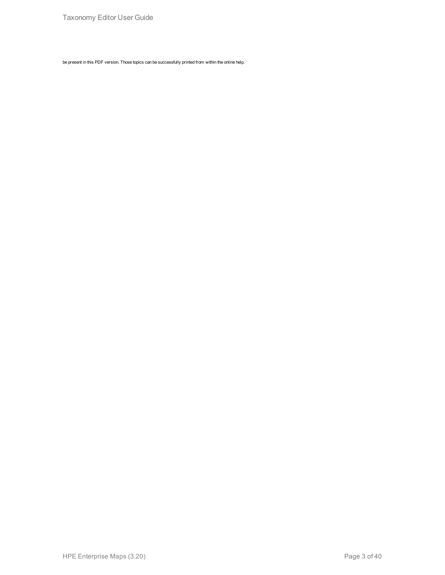be present in this PDF version. Those topics can be successfully printed from within the online help.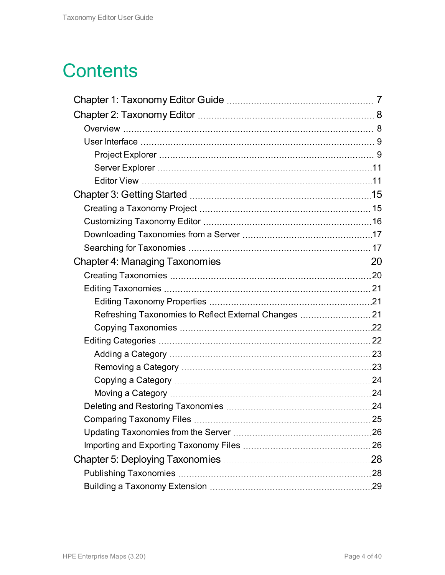## **Contents**

| Refreshing Taxonomies to Reflect External Changes  21 |  |
|-------------------------------------------------------|--|
|                                                       |  |
|                                                       |  |
|                                                       |  |
|                                                       |  |
|                                                       |  |
|                                                       |  |
|                                                       |  |
|                                                       |  |
|                                                       |  |
|                                                       |  |
|                                                       |  |
|                                                       |  |
|                                                       |  |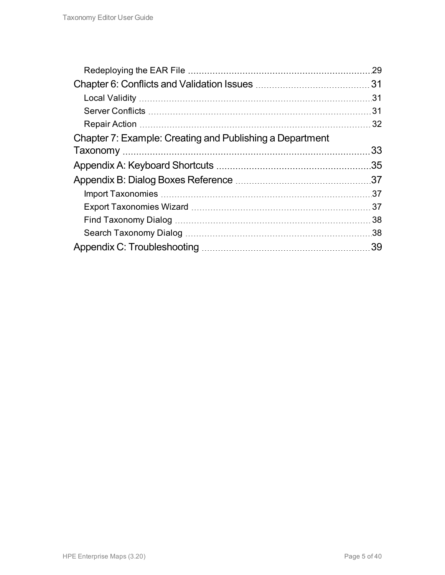| .29 |
|-----|
| 31  |
| .31 |
| 31  |
| 32  |
|     |
| 33  |
| .35 |
| 37  |
| 37  |
| 37  |
| 38  |
| .38 |
| 39  |
|     |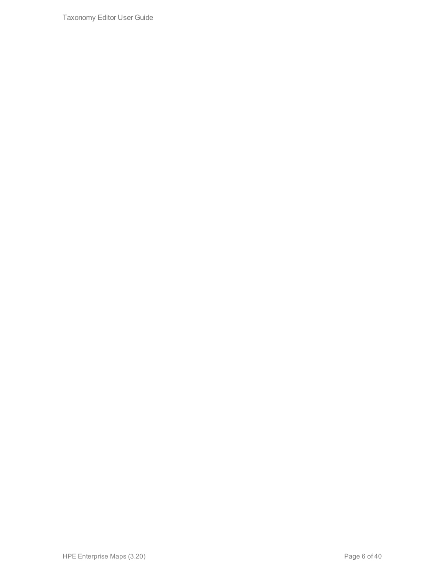Taxonomy Editor User Guide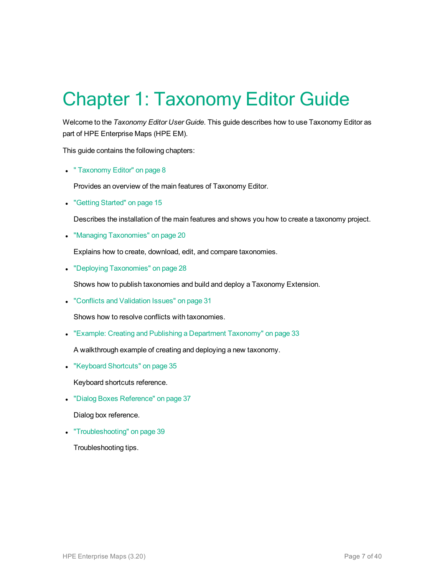# <span id="page-6-0"></span>Chapter 1: Taxonomy Editor Guide

Welcome to the *Taxonomy Editor User Guide*. This guide describes how to use Taxonomy Editor as part of HPE Enterprise Maps (HPE EM).

This guide contains the following chapters:

• " [Taxonomy](#page-7-0) Editor" on page 8

Provides an overview of the main features of Taxonomy Editor.

• ["Getting](#page-14-0) Started" on page 15

Describes the installation of the main features and shows you how to create a taxonomy project.

• "Managing [Taxonomies"](#page-19-0) on page 20

Explains how to create, download, edit, and compare taxonomies.

• "Deploying [Taxonomies"](#page-27-0) on page 28

Shows how to publish taxonomies and build and deploy a Taxonomy Extension.

• "Conflicts and [Validation](#page-30-0) Issues" on page 31

Shows how to resolve conflicts with taxonomies.

• "Example: Creating and Publishing a [Department](#page-32-0) Taxonomy" on page 33

A walkthrough example of creating and deploying a new taxonomy.

• "Keyboard [Shortcuts"](#page-34-0) on page 35

Keyboard shortcuts reference.

• "Dialog Boxes [Reference"](#page-36-0) on page 37

Dialog box reference.

• ["Troubleshooting"](#page-38-0) on page 39

Troubleshooting tips.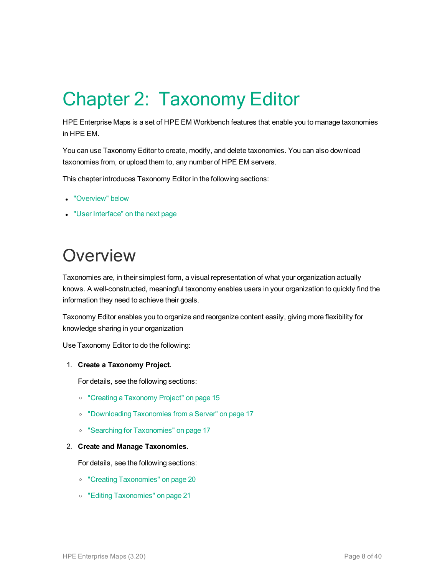# <span id="page-7-0"></span>Chapter 2: Taxonomy Editor

HPE Enterprise Maps is a set of HPE EM Workbench features that enable you to manage taxonomies in HPE EM.

You can use Taxonomy Editor to create, modify, and delete taxonomies. You can also download taxonomies from, or upload them to, any number of HPE EM servers.

This chapter introduces Taxonomy Editor in the following sections:

- ["Overview"](#page-7-1) below
- <span id="page-7-1"></span>• "User [Interface"](#page-8-0) on the next page

### **Overview**

Taxonomies are, in their simplest form, a visual representation of what your organization actually knows. A well-constructed, meaningful taxonomy enables users in your organization to quickly find the information they need to achieve their goals.

Taxonomy Editor enables you to organize and reorganize content easily, giving more flexibility for knowledge sharing in your organization

Use Taxonomy Editor to do the following:

#### 1. **Create a Taxonomy Project.**

For details, see the following sections:

- <sup>o</sup> "Creating a [Taxonomy](#page-14-1) Project" on page 15
- <sup>o</sup> ["Downloading](#page-16-0) Taxonomies from a Server" on page 17
- <sup>o</sup> "Searching for [Taxonomies"](#page-16-1) on page 17

#### 2. **Create and Manage Taxonomies.**

For details, see the following sections:

- <sup>o</sup> "Creating [Taxonomies"](#page-19-1) on page 20
- <sup>o</sup> "Editing [Taxonomies"](#page-20-0) on page 21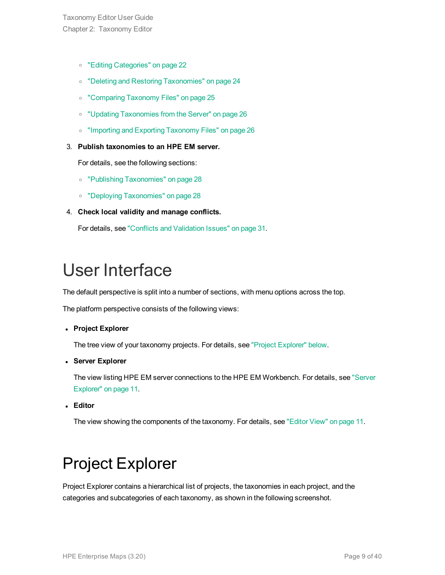- <sup>o</sup> "Editing [Categories"](#page-21-1) on page 22
- <sup>o</sup> "Deleting and Restoring [Taxonomies"](#page-23-2) on page 24
- <sup>o</sup> ["Comparing](#page-24-0) Taxonomy Files" on page 25
- <sup>o</sup> "Updating [Taxonomies](#page-25-0) from the Server" on page 26
- <sup>o</sup> "Importing and Exporting [Taxonomy](#page-25-1) Files" on page 26
- 3. **Publish taxonomies to an HPE EM server.**

For details, see the following sections:

- <sup>o</sup> "Publishing [Taxonomies"](#page-27-1) on page 28
- <sup>o</sup> "Deploying [Taxonomies"](#page-27-0) on page 28
- 4. **Check local validity and manage conflicts.**

For details, see "Conflicts and [Validation](#page-30-0) Issues" on page 31.

### <span id="page-8-0"></span>User Interface

The default perspective is split into a number of sections, with menu options across the top.

The platform perspective consists of the following views:

<sup>l</sup> **Project Explorer**

The tree view of your taxonomy projects. For details, see "Project [Explorer"](#page-8-1) below.

<sup>l</sup> **Server Explorer**

The view listing HPE EM server connections to the HPE EM Workbench. For details, see ["Server](#page-10-0) [Explorer"](#page-10-0) on page 11.

<sup>l</sup> **Editor**

<span id="page-8-1"></span>The view showing the components of the taxonomy. For details, see ["Editor](#page-10-1) View" on page 11.

### Project Explorer

Project Explorer contains a hierarchical list of projects, the taxonomies in each project, and the categories and subcategories of each taxonomy, as shown in the following screenshot.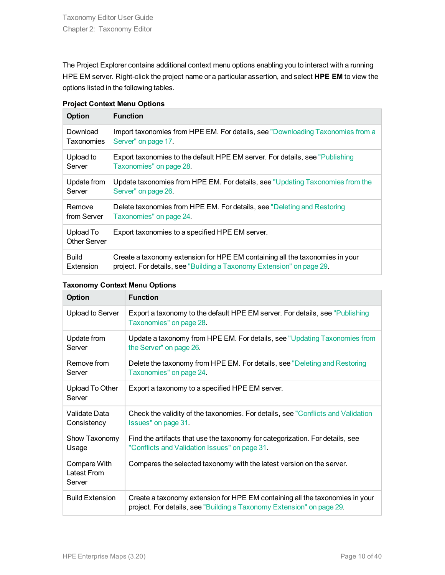The Project Explorer contains additional context menu options enabling you to interact with a running HPE EM server. Right-click the project name or a particular assertion, and select **HPE EM** to view the options listed in the following tables.

| Option                           | <b>Function</b>                                                                |  |  |
|----------------------------------|--------------------------------------------------------------------------------|--|--|
| Download                         | Import taxonomies from HPE EM. For details, see "Downloading Taxonomies from a |  |  |
| Taxonomies                       | Server" on page 17.                                                            |  |  |
| Upload to                        | Export taxonomies to the default HPE EM server. For details, see "Publishing"  |  |  |
| Server                           | Taxonomies" on page 28.                                                        |  |  |
| Update from                      | Update taxonomies from HPE EM. For details, see "Updating Taxonomies from the  |  |  |
| Server                           | Server" on page 26.                                                            |  |  |
| Remove                           | Delete taxonomies from HPE EM. For details, see "Deleting and Restoring        |  |  |
| from Server                      | Taxonomies" on page 24.                                                        |  |  |
| Upload To<br><b>Other Server</b> | Export taxonomies to a specified HPE EM server.                                |  |  |
| <b>Build</b>                     | Create a taxonomy extension for HPE EM containing all the taxonomies in your   |  |  |
| Extension                        | project. For details, see "Building a Taxonomy Extension" on page 29.          |  |  |

#### **Project Context Menu Options**

#### **Taxonomy Context Menu Options**

| Option                                | <b>Function</b>                                                                                                                                       |
|---------------------------------------|-------------------------------------------------------------------------------------------------------------------------------------------------------|
| <b>Upload to Server</b>               | Export a taxonomy to the default HPE EM server. For details, see "Publishing"<br>Taxonomies" on page 28.                                              |
| Update from<br>Server                 | Update a taxonomy from HPE EM. For details, see "Updating Taxonomies from<br>the Server" on page 26.                                                  |
| Remove from<br>Server                 | Delete the taxonomy from HPE EM. For details, see "Deleting and Restoring<br>Taxonomies" on page 24.                                                  |
| Upload To Other<br>Server             | Export a taxonomy to a specified HPE EM server.                                                                                                       |
| Validate Data<br>Consistency          | Check the validity of the taxonomies. For details, see "Conflicts and Validation"<br>Issues" on page 31.                                              |
| Show Taxonomy<br>Usage                | Find the artifacts that use the taxonomy for categorization. For details, see<br>"Conflicts and Validation Issues" on page 31.                        |
| Compare With<br>Latest From<br>Server | Compares the selected taxonomy with the latest version on the server.                                                                                 |
| <b>Build Extension</b>                | Create a taxonomy extension for HPE EM containing all the taxonomies in your<br>project. For details, see "Building a Taxonomy Extension" on page 29. |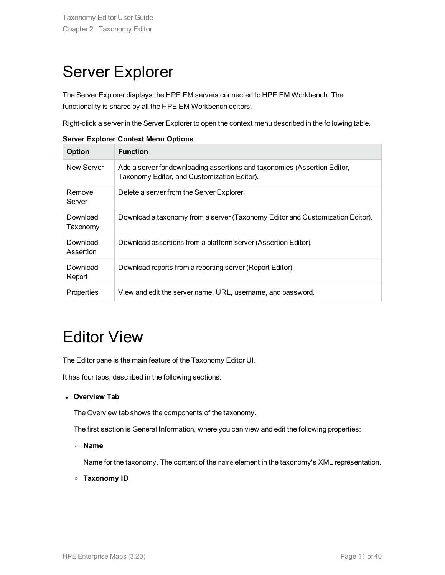### <span id="page-10-0"></span>Server Explorer

The Server Explorer displays the HPE EM servers connected to HPE EM Workbench. The functionality is shared by all the HPE EM Workbench editors.

Right-click a server in the Server Explorer to open the context menu described in the following table.

| <b>Option</b>         | <b>Function</b>                                                                                                          |
|-----------------------|--------------------------------------------------------------------------------------------------------------------------|
| New Server            | Add a server for downloading assertions and taxonomies (Assertion Editor,<br>Taxonomy Editor, and Customization Editor). |
| Remove<br>Server      | Delete a server from the Server Explorer.                                                                                |
| Download<br>Taxonomy  | Download a taxonomy from a server (Taxonomy Editor and Customization Editor).                                            |
| Download<br>Assertion | Download assertions from a platform server (Assertion Editor).                                                           |
| Download<br>Report    | Download reports from a reporting server (Report Editor).                                                                |
| Properties            | View and edit the server name, URL, username, and password.                                                              |

**Server Explorer Context Menu Options**

### <span id="page-10-1"></span>Editor View

The Editor pane is the main feature of the Taxonomy Editor UI.

It has four tabs, described in the following sections:

<sup>l</sup> **Overview Tab**

The Overview tab shows the components of the taxonomy.

The first section is General Information, where you can view and edit the following properties:

<sup>o</sup> **Name**

Name for the taxonomy. The content of the name element in the taxonomy's XML representation.

<sup>o</sup> **Taxonomy ID**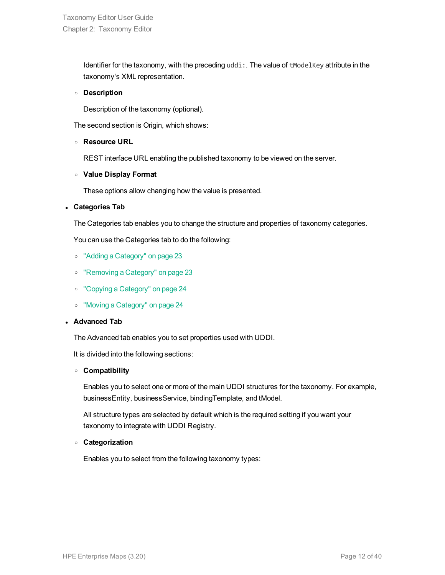Identifier for the taxonomy, with the preceding  $uddi$ :. The value of  $t$ ModelKey attribute in the taxonomy's XML representation.

#### <sup>o</sup> **Description**

Description of the taxonomy (optional).

The second section is Origin, which shows:

#### <sup>o</sup> **Resource URL**

REST interface URL enabling the published taxonomy to be viewed on the server.

#### <sup>o</sup> **Value Display Format**

These options allow changing how the value is presented.

#### <sup>l</sup> **Categories Tab**

The Categories tab enables you to change the structure and properties of taxonomy categories.

You can use the Categories tab to do the following:

- <sup>o</sup> "Adding a [Category"](#page-22-0) on page 23
- <sup>o</sup> ["Removing](#page-22-1) a Category" on page 23
- <sup>o</sup> "Copying a [Category"](#page-23-0) on page 24
- <sup>o</sup> "Moving a [Category"](#page-23-1) on page 24

#### <sup>l</sup> **Advanced Tab**

The Advanced tab enables you to set properties used with UDDI.

It is divided into the following sections:

#### <sup>o</sup> **Compatibility**

Enables you to select one or more of the main UDDI structures for the taxonomy. For example, businessEntity, businessService, bindingTemplate, and tModel.

All structure types are selected by default which is the required setting if you want your taxonomy to integrate with UDDI Registry.

#### <sup>o</sup> **Categorization**

Enables you to select from the following taxonomy types: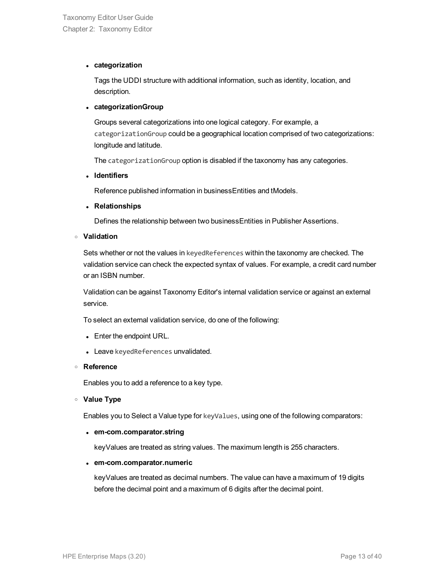#### **•** categorization

Tags the UDDI structure with additional information, such as identity, location, and description.

#### **• categorizationGroup**

Groups several categorizations into one logical category. For example, a categorizationGroup could be a geographical location comprised of two categorizations: longitude and latitude.

The categorizationGroup option is disabled if the taxonomy has any categories.

#### <sup>l</sup> **Identifiers**

Reference published information in businessEntities and tModels.

<sup>l</sup> **Relationships**

Defines the relationship between two businessEntities in Publisher Assertions.

#### <sup>o</sup> **Validation**

Sets whether or not the values in keyedReferences within the taxonomy are checked. The validation service can check the expected syntax of values. For example, a credit card number or an ISBN number.

Validation can be against Taxonomy Editor's internal validation service or against an external service.

To select an external validation service, do one of the following:

- Enter the endpoint URL.
- Leave keyedReferences unvalidated.

#### <sup>o</sup> **Reference**

Enables you to add a reference to a key type.

<sup>o</sup> **Value Type**

Enables you to Select a Value type for keyValues, using one of the following comparators:

#### <sup>l</sup> **em-com.comparator.string**

keyValues are treated as string values. The maximum length is 255 characters.

#### <sup>l</sup> **em-com.comparator.numeric**

keyValues are treated as decimal numbers. The value can have a maximum of 19 digits before the decimal point and a maximum of 6 digits after the decimal point.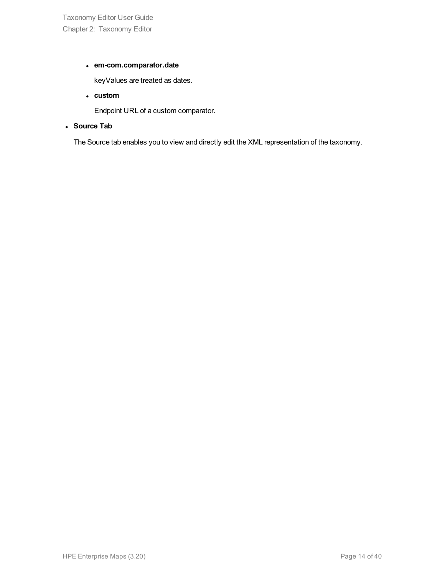Taxonomy Editor User Guide Chapter 2: Taxonomy Editor

#### <sup>l</sup> **em-com.comparator.date**

keyValues are treated as dates.

<sup>l</sup> **custom**

Endpoint URL of a custom comparator.

#### <sup>l</sup> **Source Tab**

The Source tab enables you to view and directly edit the XML representation of the taxonomy.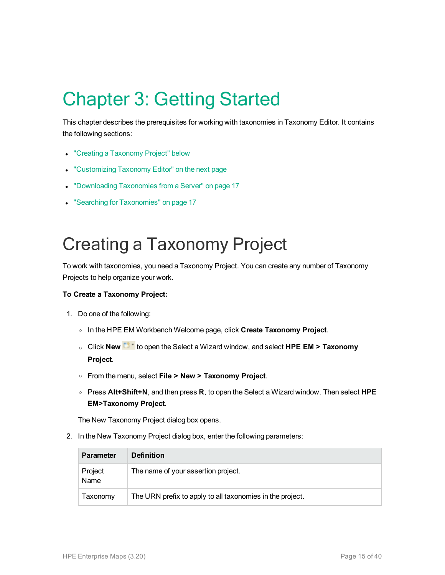# <span id="page-14-0"></span>Chapter 3: Getting Started

This chapter describes the prerequisites for working with taxonomies in Taxonomy Editor. It contains the following sections:

- "Creating a [Taxonomy](#page-14-1) Project" below
- ["Customizing](#page-15-0) Taxonomy Editor" on the next page
- ["Downloading](#page-16-0) Taxonomies from a Server" on page 17
- <span id="page-14-1"></span>**.** "Searching for [Taxonomies"](#page-16-1) on page 17

### Creating a Taxonomy Project

To work with taxonomies, you need a Taxonomy Project. You can create any number of Taxonomy Projects to help organize your work.

#### **To Create a Taxonomy Project:**

- 1. Do one of the following:
	- <sup>o</sup> In the HPE EM Workbench Welcome page, click **Create Taxonomy Project**.
	- **c** Click New  $\begin{bmatrix} 1 \\ 2 \end{bmatrix}$  to open the Select a Wizard window, and select HPE EM > Taxonomy **Project**.
	- <sup>o</sup> From the menu, select **File > New > Taxonomy Project**.
	- <sup>o</sup> Press **Alt+Shift+N**, and then press **R**, to open the Select a Wizard window. Then select **HPE EM>Taxonomy Project**.

The New Taxonomy Project dialog box opens.

2. In the New Taxonomy Project dialog box, enter the following parameters:

| <b>Parameter</b> | <b>Definition</b>                                         |
|------------------|-----------------------------------------------------------|
| Project<br>Name  | The name of your assertion project.                       |
| Taxonomy         | The URN prefix to apply to all taxonomies in the project. |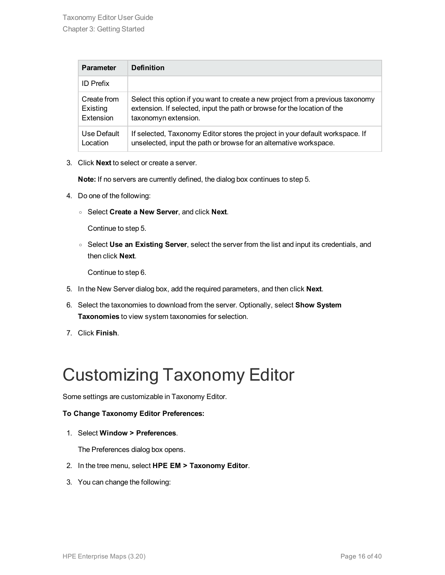| <b>Parameter</b> | <b>Definition</b>                                                               |
|------------------|---------------------------------------------------------------------------------|
| <b>ID</b> Prefix |                                                                                 |
| Create from      | Select this option if you want to create a new project from a previous taxonomy |
| Existing         | extension. If selected, input the path or browse for the location of the        |
| Extension        | taxonomyn extension.                                                            |
| Use Default      | If selected, Taxonomy Editor stores the project in your default workspace. If   |
| Location         | unselected, input the path or browse for an alternative workspace.              |

3. Click **Next** to select or create a server.

**Note:** If no servers are currently defined, the dialog box continues to step 5.

- 4. Do one of the following:
	- <sup>o</sup> Select **Create a New Server**, and click **Next**.

Continue to step 5.

<sup>o</sup> Select **Use an Existing Server**, select the server from the list and input its credentials, and then click **Next**.

Continue to step 6.

- 5. In the New Server dialog box, add the required parameters, and then click **Next**.
- 6. Select the taxonomies to download from the server. Optionally, select **Show System Taxonomies** to view system taxonomies for selection.
- <span id="page-15-0"></span>7. Click **Finish**.

## Customizing Taxonomy Editor

Some settings are customizable in Taxonomy Editor.

#### **To Change Taxonomy Editor Preferences:**

1. Select **Window > Preferences**.

The Preferences dialog box opens.

- 2. In the tree menu, select **HPE EM > Taxonomy Editor**.
- 3. You can change the following: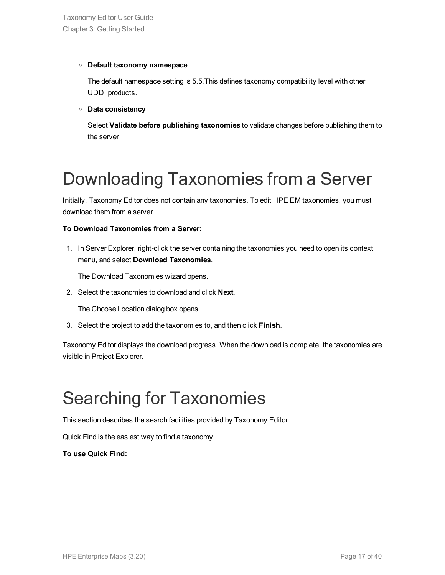#### <sup>o</sup> **Default taxonomy namespace**

The default namespace setting is 5.5.This defines taxonomy compatibility level with other UDDI products.

<sup>o</sup> **Data consistency**

Select **Validate before publishing taxonomies** to validate changes before publishing them to the server

## <span id="page-16-0"></span>Downloading Taxonomies from a Server

Initially, Taxonomy Editor does not contain any taxonomies. To edit HPE EM taxonomies, you must download them from a server.

#### **To Download Taxonomies from a Server:**

1. In Server Explorer, right-click the server containing the taxonomies you need to open its context menu, and select **Download Taxonomies**.

The Download Taxonomies wizard opens.

2. Select the taxonomies to download and click **Next**.

The Choose Location dialog box opens.

3. Select the project to add the taxonomies to, and then click **Finish**.

Taxonomy Editor displays the download progress. When the download is complete, the taxonomies are visible in Project Explorer.

### <span id="page-16-1"></span>Searching for Taxonomies

This section describes the search facilities provided by Taxonomy Editor.

Quick Find is the easiest way to find a taxonomy.

#### **To use Quick Find:**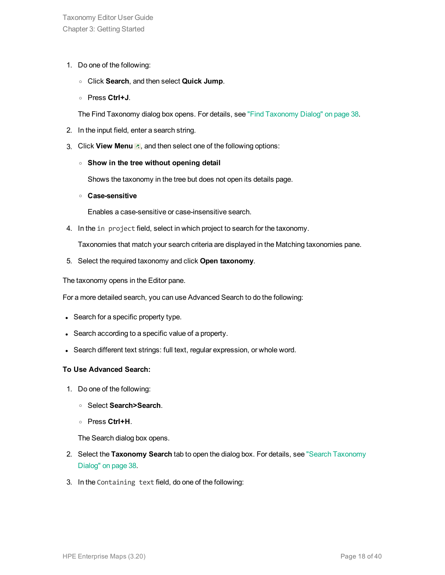- 1. Do one of the following:
	- <sup>o</sup> Click **Search**, and then select **Quick Jump**.
	- <sup>o</sup> Press **Ctrl+J**.

The Find Taxonomy dialog box opens. For details, see "Find [Taxonomy](#page-37-0) Dialog" on page 38.

- 2. In the input field, enter a search string.
- 3. Click View Menu **c**, and then select one of the following options:
	- <sup>o</sup> **Show in the tree without opening detail**

Shows the taxonomy in the tree but does not open its details page.

<sup>o</sup> **Case-sensitive**

Enables a case-sensitive or case-insensitive search.

4. In the in project field, select in which project to search for the taxonomy.

Taxonomies that match your search criteria are displayed in the Matching taxonomies pane.

5. Select the required taxonomy and click **Open taxonomy**.

The taxonomy opens in the Editor pane.

For a more detailed search, you can use Advanced Search to do the following:

- Search for a specific property type.
- Search according to a specific value of a property.
- Search different text strings: full text, regular expression, or whole word.

#### **To Use Advanced Search:**

- 1. Do one of the following:
	- <sup>o</sup> Select **Search>Search**.
	- <sup>o</sup> Press **Ctrl+H**.

The Search dialog box opens.

- 2. Select the **Taxonomy Search** tab to open the dialog box. For details, see "Search [Taxonomy](#page-37-1) [Dialog"](#page-37-1) on page 38.
- 3. In the Containing text field, do one of the following: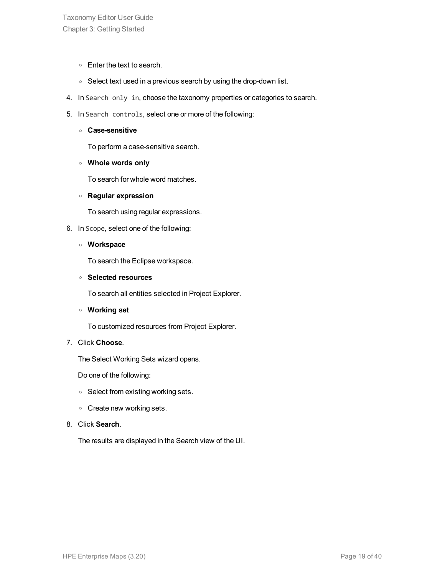- <sup>o</sup> Enter the text to search.
- $\circ$  Select text used in a previous search by using the drop-down list.
- 4. In Search only in, choose the taxonomy properties or categories to search.
- 5. In Search controls, select one or more of the following:
	- <sup>o</sup> **Case-sensitive**

To perform a case-sensitive search.

#### <sup>o</sup> **Whole words only**

To search for whole word matches.

#### <sup>o</sup> **Regular expression**

To search using regular expressions.

#### 6. In Scope, select one of the following:

#### <sup>o</sup> **Workspace**

To search the Eclipse workspace.

#### <sup>o</sup> **Selected resources**

To search all entities selected in Project Explorer.

#### <sup>o</sup> **Working set**

To customized resources from Project Explorer.

#### 7. Click **Choose**.

The Select Working Sets wizard opens.

Do one of the following:

- <sup>o</sup> Select from existing working sets.
- <sup>o</sup> Create new working sets.
- 8. Click **Search**.

The results are displayed in the Search view of the UI.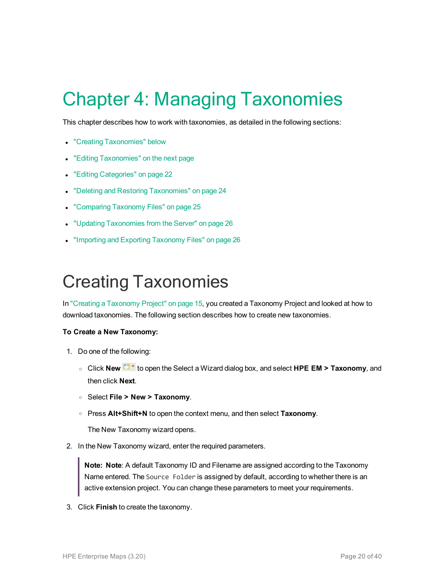# <span id="page-19-0"></span>Chapter 4: Managing Taxonomies

This chapter describes how to work with taxonomies, as detailed in the following sections:

- "Creating [Taxonomies"](#page-19-1) below
- "Editing [Taxonomies"](#page-20-0) on the next page
- "Editing [Categories"](#page-21-1) on page 22
- "Deleting and Restoring [Taxonomies"](#page-23-2) on page 24
- ["Comparing](#page-24-0) Taxonomy Files" on page 25
- **.** "Updating [Taxonomies](#page-25-0) from the Server" on page 26
- <span id="page-19-1"></span>• "Importing and Exporting [Taxonomy](#page-25-1) Files" on page 26

### Creating Taxonomies

In "Creating a [Taxonomy](#page-14-1) Project" on page 15, you created a Taxonomy Project and looked at how to download taxonomies. The following section describes how to create new taxonomies.

#### **To Create a New Taxonomy:**

- 1. Do one of the following:
	- o Click New  $\begin{bmatrix} 1 \\ 2 \end{bmatrix}$  to open the Select a Wizard dialog box, and select HPE EM > Taxonomy, and then click **Next**.
	- <sup>o</sup> Select **File > New > Taxonomy**.
	- <sup>o</sup> Press **Alt+Shift+N** to open the context menu, and then select **Taxonomy**.

The New Taxonomy wizard opens.

2. In the New Taxonomy wizard, enter the required parameters.

**Note: Note**: A default Taxonomy ID and Filename are assigned according to the Taxonomy Name entered. The Source Folder is assigned by default, according to whether there is an active extension project. You can change these parameters to meet your requirements.

3. Click **Finish** to create the taxonomy.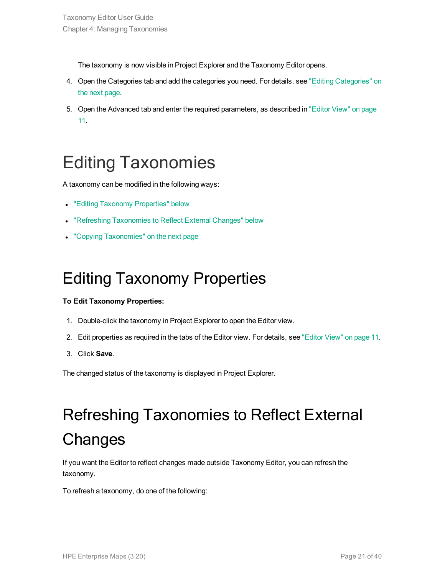The taxonomy is now visible in Project Explorer and the Taxonomy Editor opens.

- 4. Open the Categories tab and add the categories you need. For details, see "Editing [Categories"](#page-21-1) on the next [page](#page-21-1).
- 5. Open the Advanced tab and enter the required parameters, as described in ["Editor](#page-10-1) View" on page [11.](#page-10-1)

### <span id="page-20-0"></span>Editing Taxonomies

A taxonomy can be modified in the following ways:

- "Editing Taxonomy [Properties"](#page-20-1) below
- "Refreshing [Taxonomies](#page-20-2) to Reflect External Changes" below
- <span id="page-20-1"></span>• "Copying [Taxonomies"](#page-21-0) on the next page

### Editing Taxonomy Properties

#### **To Edit Taxonomy Properties:**

- 1. Double-click the taxonomy in Project Explorer to open the Editor view.
- 2. Edit properties as required in the tabs of the Editor view. For details, see ["Editor](#page-10-1) View" on page 11.
- 3. Click **Save**.

<span id="page-20-2"></span>The changed status of the taxonomy is displayed in Project Explorer.

# Refreshing Taxonomies to Reflect External **Changes**

If you want the Editor to reflect changes made outside Taxonomy Editor, you can refresh the taxonomy.

To refresh a taxonomy, do one of the following: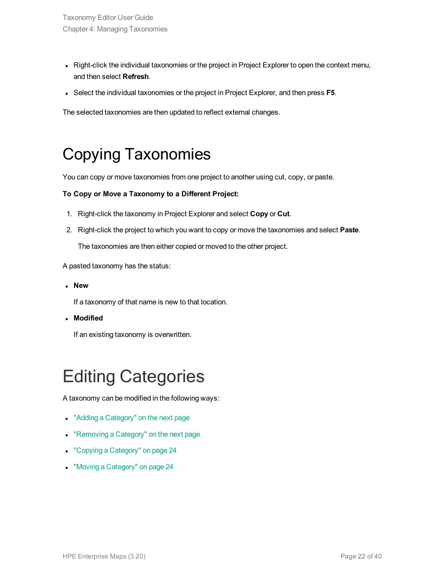- Right-click the individual taxonomies or the project in Project Explorer to open the context menu, and then select **Refresh**.
- **.** Select the individual taxonomies or the project in Project Explorer, and then press F5.

<span id="page-21-0"></span>The selected taxonomies are then updated to reflect external changes.

### Copying Taxonomies

You can copy or move taxonomies from one project to another using cut, copy, or paste.

#### **To Copy or Move a Taxonomy to a Different Project:**

- 1. Right-click the taxonomy in Project Explorer and select **Copy** or **Cut**.
- 2. Right-click the project to which you want to copy or move the taxonomies and select **Paste**.

The taxonomies are then either copied or moved to the other project.

A pasted taxonomy has the status:

<sup>l</sup> **New**

If a taxonomy of that name is new to that location.

**.** Modified

<span id="page-21-1"></span>If an existing taxonomy is overwritten.

## Editing Categories

A taxonomy can be modified in the following ways:

- "Adding a [Category"](#page-22-0) on the next page
- ["Removing](#page-22-1) a Category" on the next page
- "Copying a [Category"](#page-23-0) on page 24
- "Moving a [Category"](#page-23-1) on page 24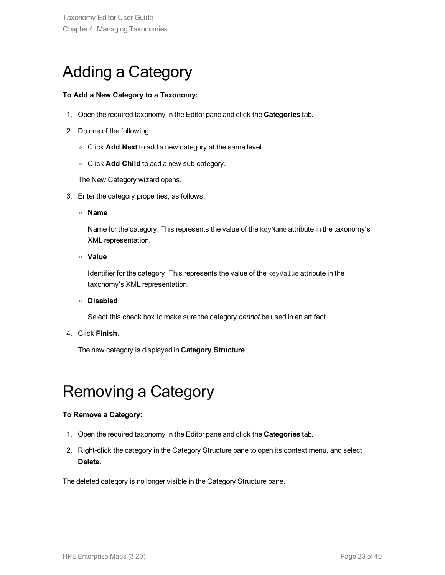### <span id="page-22-0"></span>Adding a Category

#### **To Add a New Category to a Taxonomy:**

- 1. Open the required taxonomy in the Editor pane and click the **Categories** tab.
- 2. Do one of the following:
	- <sup>o</sup> Click **Add Next** to add a new category at the same level.
	- <sup>o</sup> Click **Add Child** to add a new sub-category.

The New Category wizard opens.

- 3. Enter the category properties, as follows:
	- <sup>o</sup> **Name**

Name for the category. This represents the value of the keyName attribute in the taxonomy's XML representation.

<sup>o</sup> **Value**

Identifier for the category. This represents the value of the keyValue attribute in the taxonomy's XML representation.

<sup>o</sup> **Disabled**

Select this check box to make sure the category *cannot* be used in an artifact.

4. Click **Finish**.

<span id="page-22-1"></span>The new category is displayed in **Category Structure**.

### Removing a Category

#### **To Remove a Category:**

- 1. Open the required taxonomy in the Editor pane and click the **Categories** tab.
- 2. Right-click the category in the Category Structure pane to open its context menu, and select **Delete**.

The deleted category is no longer visible in the Category Structure pane.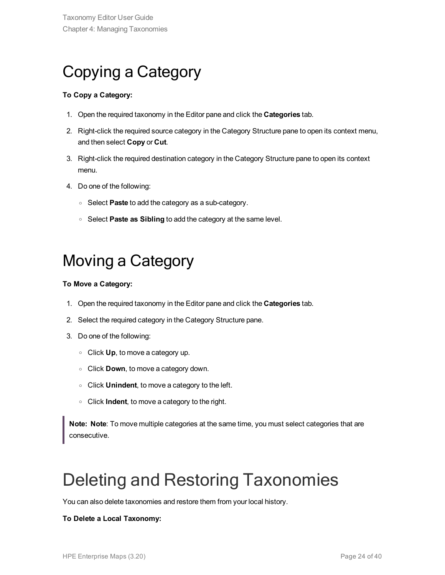### <span id="page-23-0"></span>Copying a Category

#### **To Copy a Category:**

- 1. Open the required taxonomy in the Editor pane and click the **Categories** tab.
- 2. Right-click the required source category in the Category Structure pane to open its context menu, and then select **Copy** or **Cut**.
- 3. Right-click the required destination category in the Category Structure pane to open its context menu.
- 4. Do one of the following:
	- <sup>o</sup> Select **Paste** to add the category as a sub-category.
	- <sup>o</sup> Select **Paste as Sibling** to add the category at the same level.

### <span id="page-23-1"></span>Moving a Category

#### **To Move a Category:**

- 1. Open the required taxonomy in the Editor pane and click the **Categories** tab.
- 2. Select the required category in the Category Structure pane.
- 3. Do one of the following:
	- <sup>o</sup> Click **Up**, to move a category up.
	- <sup>o</sup> Click **Down**, to move a category down.
	- <sup>o</sup> Click **Unindent**, to move a category to the left.
	- <sup>o</sup> Click **Indent**, to move a category to the right.

**Note: Note**: To move multiple categories at the same time, you must select categories that are consecutive.

# <span id="page-23-2"></span>Deleting and Restoring Taxonomies

You can also delete taxonomies and restore them from your local history.

#### **To Delete a Local Taxonomy:**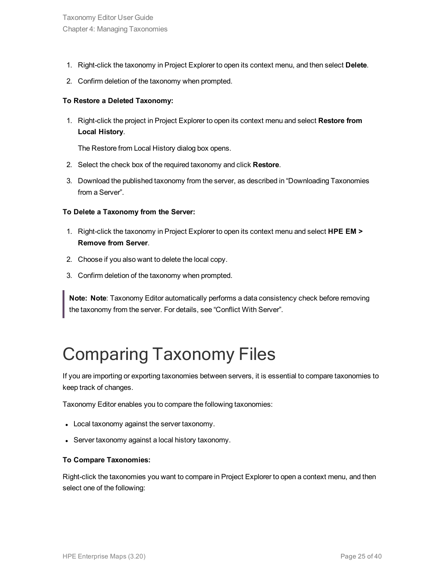- 1. Right-click the taxonomy in Project Explorer to open its context menu, and then select **Delete**.
- 2. Confirm deletion of the taxonomy when prompted.

#### **To Restore a Deleted Taxonomy:**

1. Right-click the project in Project Explorer to open its context menu and select **Restore from Local History**.

The Restore from Local History dialog box opens.

- 2. Select the check box of the required taxonomy and click **Restore**.
- 3. Download the published taxonomy from the server, as described in "Downloading Taxonomies from a Server".

#### **To Delete a Taxonomy from the Server:**

- 1. Right-click the taxonomy in Project Explorer to open its context menu and select **HPE EM > Remove from Server**.
- 2. Choose if you also want to delete the local copy.
- 3. Confirm deletion of the taxonomy when prompted.

**Note: Note**: Taxonomy Editor automatically performs a data consistency check before removing the taxonomy from the server. For details, see "Conflict With Server".

### <span id="page-24-0"></span>Comparing Taxonomy Files

If you are importing or exporting taxonomies between servers, it is essential to compare taxonomies to keep track of changes.

Taxonomy Editor enables you to compare the following taxonomies:

- Local taxonomy against the server taxonomy.
- Server taxonomy against a local history taxonomy.

#### **To Compare Taxonomies:**

Right-click the taxonomies you want to compare in Project Explorer to open a context menu, and then select one of the following: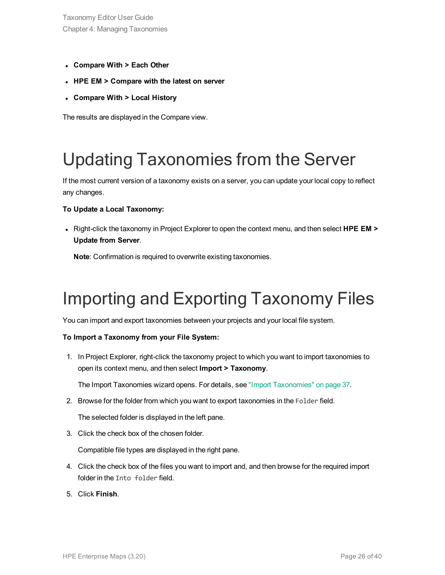Taxonomy Editor User Guide Chapter 4: Managing Taxonomies

- <sup>l</sup> **Compare With > Each Other**
- <sup>l</sup> **HPE EM > Compare with the latest on server**
- <sup>l</sup> **Compare With > Local History**

<span id="page-25-0"></span>The results are displayed in the Compare view.

### Updating Taxonomies from the Server

If the most current version of a taxonomy exists on a server, you can update your local copy to reflect any changes.

#### **To Update a Local Taxonomy:**

<sup>l</sup> Right-click the taxonomy in Project Explorer to open the context menu, and then select **HPE EM > Update from Server**.

<span id="page-25-1"></span>**Note**: Confirmation is required to overwrite existing taxonomies.

## Importing and Exporting Taxonomy Files

You can import and export taxonomies between your projects and your local file system.

#### **To Import a Taxonomy from your File System:**

1. In Project Explorer, right-click the taxonomy project to which you want to import taxonomies to open its context menu, and then select **Import > Taxonomy**.

The Import Taxonomies wizard opens. For details, see "Import [Taxonomies"](#page-36-1) on page 37.

2. Browse for the folder from which you want to export taxonomies in the Folder field.

The selected folder is displayed in the left pane.

3. Click the check box of the chosen folder.

Compatible file types are displayed in the right pane.

- 4. Click the check box of the files you want to import and, and then browse for the required import folder in the Into folder field.
- 5. Click **Finish**.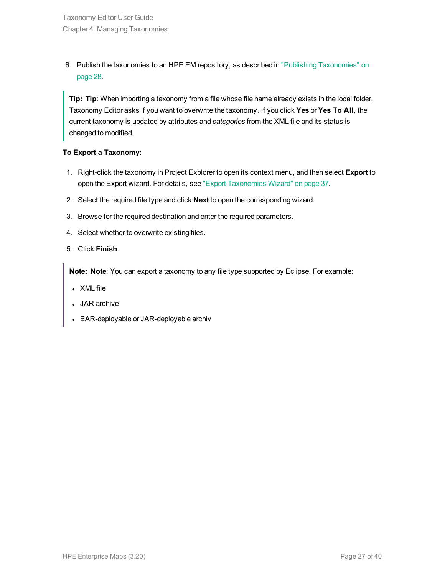6. Publish the taxonomies to an HPE EM repository, as described in "Publishing [Taxonomies"](#page-27-1) on [page](#page-27-1) 28.

**Tip: Tip**: When importing a taxonomy from a file whose file name already exists in the local folder, Taxonomy Editor asks if you want to overwrite the taxonomy. If you click **Yes** or **Yes To All**, the current taxonomy is updated by attributes and *categories* from the XML file and its status is changed to modified.

#### **To Export a Taxonomy:**

- 1. Right-click the taxonomy in Project Explorer to open its context menu, and then select **Export** to open the Export wizard. For details, see "Export [Taxonomies](#page-36-2) Wizard" on page 37.
- 2. Select the required file type and click **Next** to open the corresponding wizard.
- 3. Browse for the required destination and enter the required parameters.
- 4. Select whether to overwrite existing files.
- 5. Click **Finish**.

**Note: Note**: You can export a taxonomy to any file type supported by Eclipse. For example:

- XML file
- JAR archive
- EAR-deployable or JAR-deployable archiv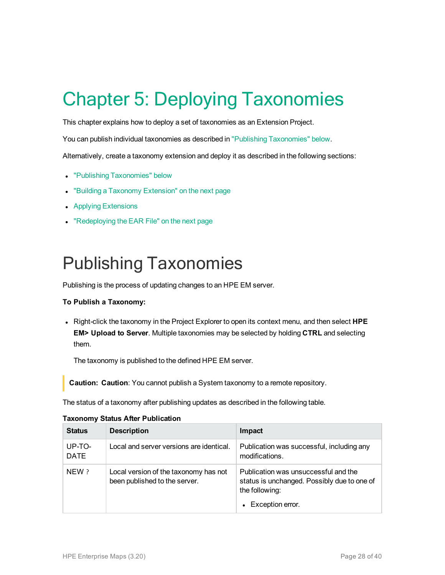# <span id="page-27-0"></span>Chapter 5: Deploying Taxonomies

This chapter explains how to deploy a set of taxonomies as an Extension Project.

You can publish individual taxonomies as described in "Publishing [Taxonomies"](#page-27-1) below.

Alternatively, create a taxonomy extension and deploy it as described in the following sections:

- "Publishing [Taxonomies"](#page-27-1) below
- "Building a Taxonomy [Extension"](#page-28-0) on the next page
- Applying Extensions
- <span id="page-27-1"></span>• ["Redeploying](#page-28-1) the EAR File" on the next page

## Publishing Taxonomies

Publishing is the process of updating changes to an HPE EM server.

#### **To Publish a Taxonomy:**

**Right-click the taxonomy in the Project Explorer to open its context menu, and then select HPE EM> Upload to Server**. Multiple taxonomies may be selected by holding **CTRL** and selecting them.

The taxonomy is published to the defined HPE EM server.

**Caution: Caution**: You cannot publish a System taxonomy to a remote repository.

The status of a taxonomy after publishing updates as described in the following table.

|  |  |  | <b>Taxonomy Status After Publication</b> |
|--|--|--|------------------------------------------|
|--|--|--|------------------------------------------|

| <b>Status</b>         | <b>Description</b>                                                     | Impact                                                                                                                                 |
|-----------------------|------------------------------------------------------------------------|----------------------------------------------------------------------------------------------------------------------------------------|
| UP-TO-<br><b>DATE</b> | Local and server versions are identical.                               | Publication was successful, including any<br>modifications.                                                                            |
| NEW ?                 | Local version of the taxonomy has not<br>been published to the server. | Publication was unsuccessful and the<br>status is unchanged. Possibly due to one of<br>the following:<br>Exception error.<br>$\bullet$ |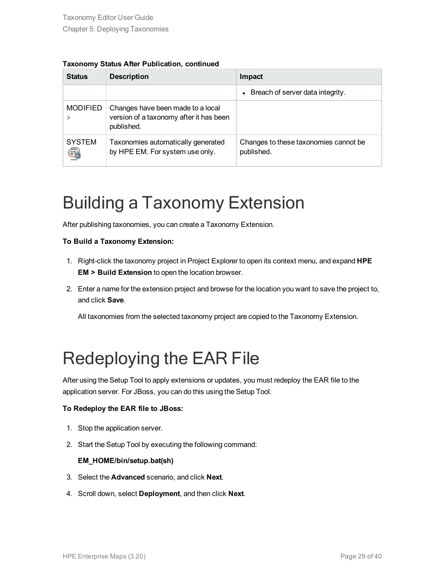| <b>Status</b>      | <b>Description</b>                                                                         | Impact                                              |
|--------------------|--------------------------------------------------------------------------------------------|-----------------------------------------------------|
|                    |                                                                                            | • Breach of server data integrity.                  |
| <b>MODIFIED</b>    | Changes have been made to a local<br>version of a taxonomy after it has been<br>published. |                                                     |
| <b>SYSTEM</b><br>œ | Taxonomies automatically generated<br>by HPE EM. For system use only.                      | Changes to these taxonomies cannot be<br>published. |

#### **Taxonomy Status After Publication, continued**

## <span id="page-28-0"></span>Building a Taxonomy Extension

After publishing taxonomies, you can create a Taxonomy Extension.

#### **To Build a Taxonomy Extension:**

- 1. Right-click the taxonomy project in Project Explorer to open its context menu, and expand **HPE EM > Build Extension** to open the location browser.
- 2. Enter a name for the extension project and browse for the location you want to save the project to, and click **Save**.

<span id="page-28-1"></span>All taxonomies from the selected taxonomy project are copied to the Taxonomy Extension.

## Redeploying the EAR File

After using the Setup Tool to apply extensions or updates, you must redeploy the EAR file to the application server. For JBoss, you can do this using the Setup Tool.

#### **To Redeploy the EAR file to JBoss:**

- 1. Stop the application server.
- 2. Start the Setup Tool by executing the following command:

#### **EM\_HOME/bin/setup.bat(sh)**

- 3. Select the **Advanced** scenario, and click **Next**.
- 4. Scroll down, select **Deployment**, and then click **Next**.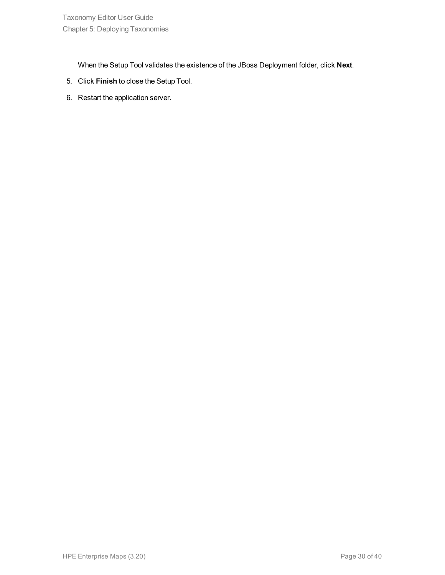When the Setup Tool validates the existence of the JBoss Deployment folder, click **Next**.

- 5. Click **Finish** to close the Setup Tool.
- 6. Restart the application server.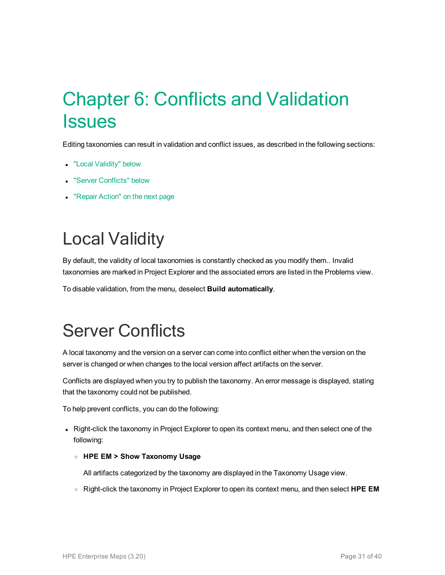# <span id="page-30-0"></span>Chapter 6: Conflicts and Validation **Issues**

Editing taxonomies can result in validation and conflict issues, as described in the following sections:

- "Local [Validity"](#page-30-1) below
- "Server [Conflicts"](#page-30-2) below
- <span id="page-30-1"></span>• ["Repair](#page-31-0) Action" on the next page

## Local Validity

By default, the validity of local taxonomies is constantly checked as you modify them.. Invalid taxonomies are marked in Project Explorer and the associated errors are listed in the Problems view.

<span id="page-30-2"></span>To disable validation, from the menu, deselect **Build automatically**.

### Server Conflicts

A local taxonomy and the version on a server can come into conflict either when the version on the server is changed or when changes to the local version affect artifacts on the server.

Conflicts are displayed when you try to publish the taxonomy. An error message is displayed, stating that the taxonomy could not be published.

To help prevent conflicts, you can do the following:

• Right-click the taxonomy in Project Explorer to open its context menu, and then select one of the following:

#### <sup>o</sup> **HPE EM > Show Taxonomy Usage**

All artifacts categorized by the taxonomy are displayed in the Taxonomy Usage view.

<sup>o</sup> Right-click the taxonomy in Project Explorer to open its context menu, and then select **HPE EM**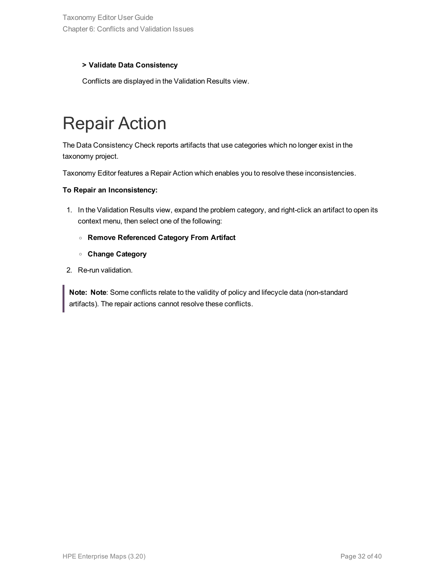Taxonomy Editor User Guide Chapter 6: Conflicts and Validation Issues

#### **> Validate Data Consistency**

Conflicts are displayed in the Validation Results view.

## <span id="page-31-0"></span>Repair Action

The Data Consistency Check reports artifacts that use categories which no longer exist in the taxonomy project.

Taxonomy Editor features a Repair Action which enables you to resolve these inconsistencies.

#### **To Repair an Inconsistency:**

- 1. In the Validation Results view, expand the problem category, and right-click an artifact to open its context menu, then select one of the following:
	- <sup>o</sup> **Remove Referenced Category From Artifact**
	- <sup>o</sup> **Change Category**
- 2. Re-run validation.

**Note: Note**: Some conflicts relate to the validity of policy and lifecycle data (non-standard artifacts). The repair actions cannot resolve these conflicts.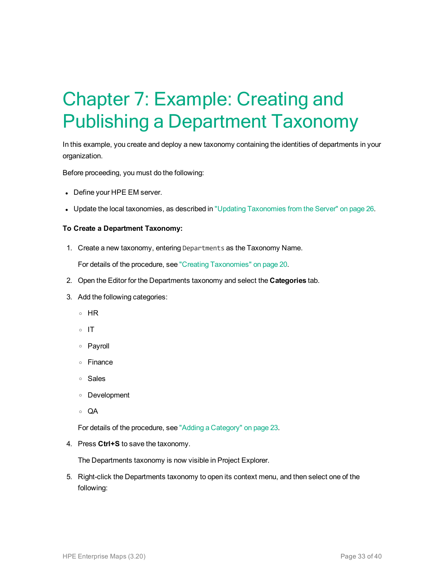# <span id="page-32-0"></span>Chapter 7: Example: Creating and Publishing a Department Taxonomy

In this example, you create and deploy a new taxonomy containing the identities of departments in your organization.

Before proceeding, you must do the following:

- Define your HPE EM server.
- Update the local taxonomies, as described in "Updating [Taxonomies](#page-25-0) from the Server" on page 26.

#### **To Create a Department Taxonomy:**

1. Create a new taxonomy, entering Departments as the Taxonomy Name.

For details of the procedure, see "Creating [Taxonomies"](#page-19-1) on page 20.

- 2. Open the Editor for the Departments taxonomy and select the **Categories** tab.
- 3. Add the following categories:
	- <sup>o</sup> HR
	- <sup>o</sup> IT
	- <sup>o</sup> Payroll
	- <sup>o</sup> Finance
	- <sup>o</sup> Sales
	- <sup>o</sup> Development
	- <sup>o</sup> QA

For details of the procedure, see "Adding a [Category"](#page-22-0) on page 23.

4. Press **Ctrl+S** to save the taxonomy.

The Departments taxonomy is now visible in Project Explorer.

5. Right-click the Departments taxonomy to open its context menu, and then select one of the following: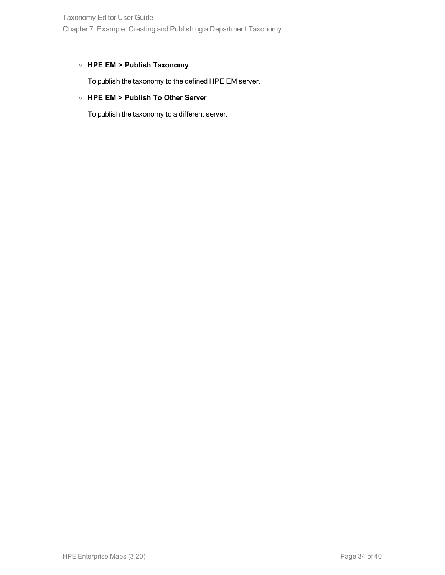Taxonomy Editor User Guide Chapter 7: Example: Creating and Publishing a Department Taxonomy

#### <sup>o</sup> **HPE EM > Publish Taxonomy**

To publish the taxonomy to the defined HPE EM server.

#### <sup>o</sup> **HPE EM > Publish To Other Server**

To publish the taxonomy to a different server.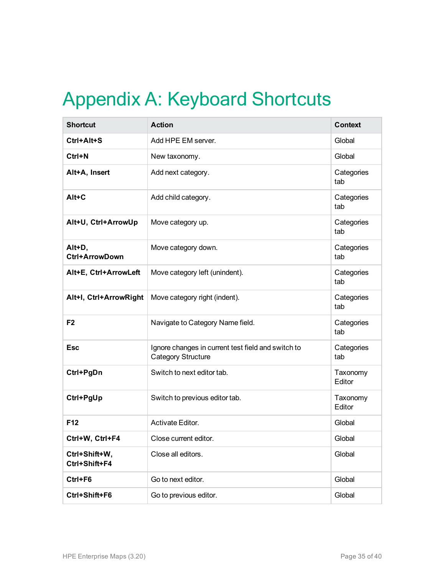# <span id="page-34-0"></span>Appendix A: Keyboard Shortcuts

| <b>Shortcut</b>                 | <b>Action</b>                                                                   | <b>Context</b>     |
|---------------------------------|---------------------------------------------------------------------------------|--------------------|
| Ctrl+Alt+S                      | Add HPE EM server.                                                              | Global             |
| Ctrl+N                          | New taxonomy.                                                                   | Global             |
| Alt+A, Insert                   | Add next category.                                                              | Categories<br>tab  |
| $Alt+C$                         | Add child category.                                                             | Categories<br>tab  |
| Alt+U, Ctrl+ArrowUp             | Move category up.                                                               | Categories<br>tab  |
| Alt+D,<br><b>Ctrl+ArrowDown</b> | Move category down.                                                             | Categories<br>tab  |
| Alt+E, Ctrl+ArrowLeft           | Move category left (unindent).                                                  | Categories<br>tab  |
| Alt+I, Ctrl+ArrowRight          | Move category right (indent).                                                   | Categories<br>tab  |
| F <sub>2</sub>                  | Navigate to Category Name field.                                                | Categories<br>tab  |
| <b>Esc</b>                      | Ignore changes in current test field and switch to<br><b>Category Structure</b> | Categories<br>tab  |
| Ctrl+PgDn                       | Switch to next editor tab.                                                      | Taxonomy<br>Editor |
| Ctrl+PgUp                       | Switch to previous editor tab.                                                  | Taxonomy<br>Editor |
| F <sub>12</sub>                 | Activate Editor.                                                                | Global             |
| Ctrl+W, Ctrl+F4                 | Close current editor.                                                           | Global             |
| Ctrl+Shift+W,<br>Ctrl+Shift+F4  | Close all editors.                                                              | Global             |
| Ctrl+F6                         | Go to next editor.                                                              | Global             |
| Ctrl+Shift+F6                   | Go to previous editor.                                                          | Global             |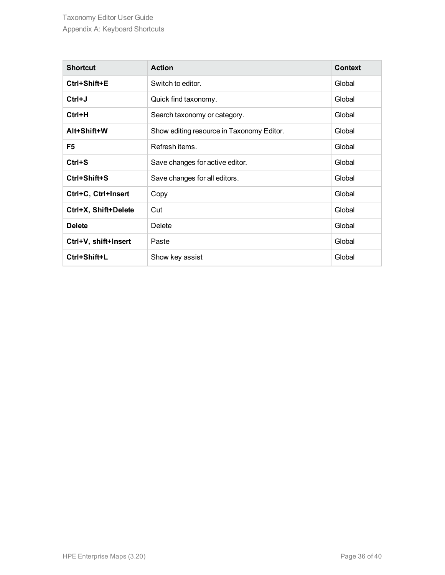| <b>Shortcut</b>      | <b>Action</b>                             | <b>Context</b> |
|----------------------|-------------------------------------------|----------------|
| Ctrl+Shift+E         | Switch to editor.                         | Global         |
| $Ctrl+J$             | Quick find taxonomy.                      | Global         |
| $Ctrl+H$             | Search taxonomy or category.              | Global         |
| Alt+Shift+W          | Show editing resource in Taxonomy Editor. | Global         |
| F5                   | Refresh items.                            | Global         |
| $Ctrl + S$           | Save changes for active editor.           | Global         |
| Ctrl+Shift+S         | Save changes for all editors.             | Global         |
| Ctrl+C, Ctrl+Insert  | Copy                                      | Global         |
| Ctrl+X, Shift+Delete | Cut                                       | Global         |
| <b>Delete</b>        | Delete                                    | Global         |
| Ctrl+V, shift+Insert | Paste                                     | Global         |
| Ctrl+Shift+L         | Show key assist                           | Global         |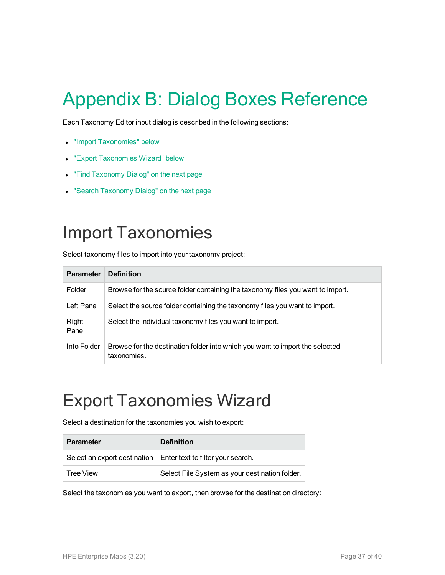# <span id="page-36-0"></span>Appendix B: Dialog Boxes Reference

Each Taxonomy Editor input dialog is described in the following sections:

- "Import [Taxonomies"](#page-36-1) below
- "Export [Taxonomies](#page-36-2) Wizard" below
- "Find [Taxonomy](#page-37-0) Dialog" on the next page
- <span id="page-36-1"></span>"Search [Taxonomy](#page-37-1) Dialog" on the next page

### Import Taxonomies

Select taxonomy files to import into your taxonomy project:

| <b>Parameter</b> | <b>Definition</b>                                                                           |
|------------------|---------------------------------------------------------------------------------------------|
| Folder           | Browse for the source folder containing the taxonomy files you want to import.              |
| Left Pane        | Select the source folder containing the taxonomy files you want to import.                  |
| Right<br>Pane    | Select the individual taxonomy files you want to import.                                    |
| Into Folder      | Browse for the destination folder into which you want to import the selected<br>taxonomies. |

### <span id="page-36-2"></span>Export Taxonomies Wizard

Select a destination for the taxonomies you wish to export:

| <b>Parameter</b> | <b>Definition</b>                                                |
|------------------|------------------------------------------------------------------|
|                  | Select an export destination   Enter text to filter your search. |
| Tree View        | Select File System as your destination folder.                   |

Select the taxonomies you want to export, then browse for the destination directory: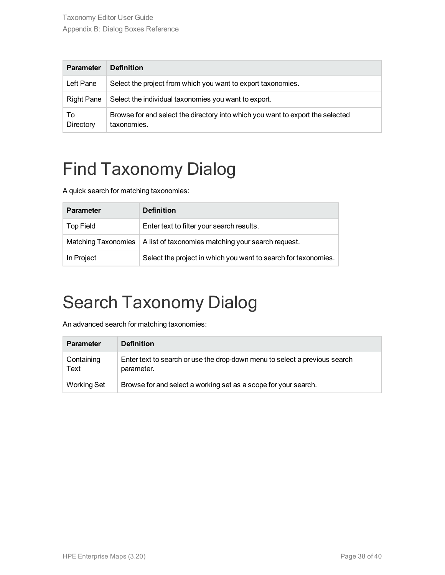Taxonomy Editor User Guide Appendix B: Dialog Boxes Reference

| <b>Parameter</b>  | <b>Definition</b>                                                                             |
|-------------------|-----------------------------------------------------------------------------------------------|
| Left Pane         | Select the project from which you want to export taxonomies.                                  |
| <b>Right Pane</b> | Select the individual taxonomies you want to export.                                          |
| To<br>Directory   | Browse for and select the directory into which you want to export the selected<br>taxonomies. |

### <span id="page-37-0"></span>Find Taxonomy Dialog

A quick search for matching taxonomies:

| <b>Parameter</b> | <b>Definition</b>                                                        |
|------------------|--------------------------------------------------------------------------|
| Top Field        | Enter text to filter your search results.                                |
|                  | Matching Taxonomies   A list of taxonomies matching your search request. |
| In Project       | Select the project in which you want to search for taxonomies.           |

## <span id="page-37-1"></span>Search Taxonomy Dialog

An advanced search for matching taxonomies:

| <b>Parameter</b>   | <b>Definition</b>                                                                        |
|--------------------|------------------------------------------------------------------------------------------|
| Containing<br>Text | Enter text to search or use the drop-down menu to select a previous search<br>parameter. |
| <b>Working Set</b> | Browse for and select a working set as a scope for your search.                          |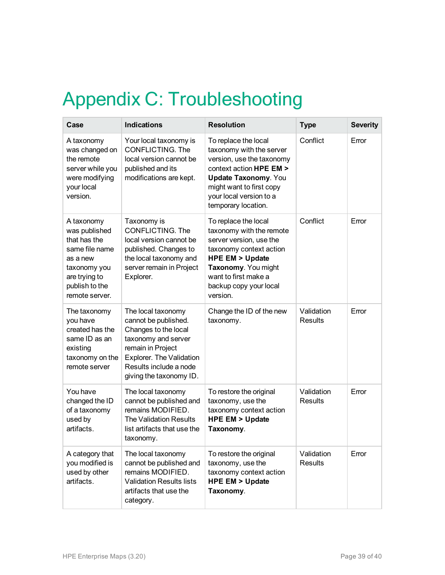# <span id="page-38-0"></span>Appendix C: Troubleshooting

| Case                                                                                                                                           | <b>Indications</b>                                                                                                                                                                              | <b>Resolution</b>                                                                                                                                                                                                        | <b>Type</b>                  | <b>Severity</b> |
|------------------------------------------------------------------------------------------------------------------------------------------------|-------------------------------------------------------------------------------------------------------------------------------------------------------------------------------------------------|--------------------------------------------------------------------------------------------------------------------------------------------------------------------------------------------------------------------------|------------------------------|-----------------|
| A taxonomy<br>was changed on<br>the remote<br>server while you<br>were modifying<br>your local<br>version.                                     | Your local taxonomy is<br><b>CONFLICTING. The</b><br>local version cannot be<br>published and its<br>modifications are kept.                                                                    | To replace the local<br>taxonomy with the server<br>version, use the taxonomy<br>context action HPE EM ><br><b>Update Taxonomy. You</b><br>might want to first copy<br>your local version to a<br>temporary location.    | Conflict                     | Error           |
| A taxonomy<br>was published<br>that has the<br>same file name<br>as a new<br>taxonomy you<br>are trying to<br>publish to the<br>remote server. | Taxonomy is<br><b>CONFLICTING. The</b><br>local version cannot be<br>published. Changes to<br>the local taxonomy and<br>server remain in Project<br>Explorer.                                   | To replace the local<br>taxonomy with the remote<br>server version, use the<br>taxonomy context action<br><b>HPE EM &gt; Update</b><br>Taxonomy. You might<br>want to first make a<br>backup copy your local<br>version. | Conflict                     | Error           |
| The taxonomy<br>you have<br>created has the<br>same ID as an<br>existing<br>taxonomy on the<br>remote server                                   | The local taxonomy<br>cannot be published.<br>Changes to the local<br>taxonomy and server<br>remain in Project<br>Explorer. The Validation<br>Results include a node<br>giving the taxonomy ID. | Change the ID of the new<br>taxonomy.                                                                                                                                                                                    | Validation<br><b>Results</b> | Error           |
| You have<br>changed the ID<br>of a taxonomy<br>used by<br>artifacts.                                                                           | The local taxonomy<br>cannot be published and<br>remains MODIFIED.<br>The Validation Results<br>list artifacts that use the<br>taxonomy.                                                        | To restore the original<br>taxonomy, use the<br>taxonomy context action<br><b>HPE EM &gt; Update</b><br>Taxonomy.                                                                                                        | Validation<br>Results        | Error           |
| A category that<br>you modified is<br>used by other<br>artifacts.                                                                              | The local taxonomy<br>cannot be published and<br>remains MODIFIED.<br><b>Validation Results lists</b><br>artifacts that use the<br>category.                                                    | To restore the original<br>taxonomy, use the<br>taxonomy context action<br><b>HPE EM &gt; Update</b><br>Taxonomy.                                                                                                        | Validation<br><b>Results</b> | Error           |